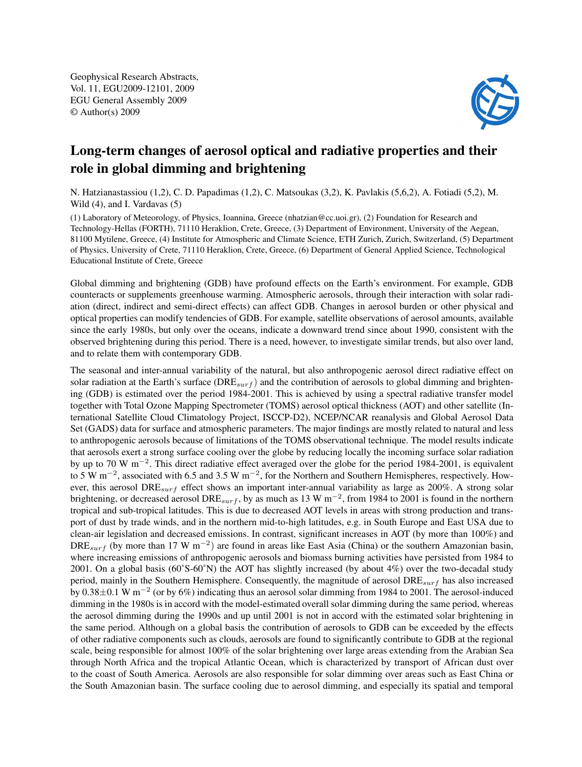Geophysical Research Abstracts, Vol. 11, EGU2009-12101, 2009 EGU General Assembly 2009 © Author(s) 2009



## Long-term changes of aerosol optical and radiative properties and their role in global dimming and brightening

N. Hatzianastassiou (1,2), C. D. Papadimas (1,2), C. Matsoukas (3,2), K. Pavlakis (5,6,2), A. Fotiadi (5,2), M. Wild (4), and I. Vardavas (5)

(1) Laboratory of Meteorology, of Physics, Ioannina, Greece (nhatzian@cc.uoi.gr), (2) Foundation for Research and Technology-Hellas (FORTH), 71110 Heraklion, Crete, Greece, (3) Department of Environment, University of the Aegean, 81100 Mytilene, Greece, (4) Institute for Atmospheric and Climate Science, ETH Zurich, Zurich, Switzerland, (5) Department of Physics, University of Crete, 71110 Heraklion, Crete, Greece, (6) Department of General Applied Science, Technological Educational Institute of Crete, Greece

Global dimming and brightening (GDB) have profound effects on the Earth's environment. For example, GDB counteracts or supplements greenhouse warming. Atmospheric aerosols, through their interaction with solar radiation (direct, indirect and semi-direct effects) can affect GDB. Changes in aerosol burden or other physical and optical properties can modify tendencies of GDB. For example, satellite observations of aerosol amounts, available since the early 1980s, but only over the oceans, indicate a downward trend since about 1990, consistent with the observed brightening during this period. There is a need, however, to investigate similar trends, but also over land, and to relate them with contemporary GDB.

The seasonal and inter-annual variability of the natural, but also anthropogenic aerosol direct radiative effect on solar radiation at the Earth's surface ( $DRE_{surf}$ ) and the contribution of aerosols to global dimming and brightening (GDB) is estimated over the period 1984-2001. This is achieved by using a spectral radiative transfer model together with Total Ozone Mapping Spectrometer (TOMS) aerosol optical thickness (AOT) and other satellite (International Satellite Cloud Climatology Project, ISCCP-D2), NCEP/NCAR reanalysis and Global Aerosol Data Set (GADS) data for surface and atmospheric parameters. The major findings are mostly related to natural and less to anthropogenic aerosols because of limitations of the TOMS observational technique. The model results indicate that aerosols exert a strong surface cooling over the globe by reducing locally the incoming surface solar radiation by up to 70 W m<sup>−</sup><sup>2</sup> . This direct radiative effect averaged over the globe for the period 1984-2001, is equivalent to 5 W m<sup>-2</sup>, associated with 6.5 and 3.5 W m<sup>-2</sup>, for the Northern and Southern Hemispheres, respectively. However, this aerosol DRE<sub>surf</sub> effect shows an important inter-annual variability as large as 200%. A strong solar brightening, or decreased aerosol DRE<sub>surf</sub>, by as much as 13 W m<sup>-2</sup>, from 1984 to 2001 is found in the northern tropical and sub-tropical latitudes. This is due to decreased AOT levels in areas with strong production and transport of dust by trade winds, and in the northern mid-to-high latitudes, e.g. in South Europe and East USA due to clean-air legislation and decreased emissions. In contrast, significant increases in AOT (by more than 100%) and DRE<sub>surf</sub> (by more than 17 W m<sup>-2</sup>) are found in areas like East Asia (China) or the southern Amazonian basin, where increasing emissions of anthropogenic aerosols and biomass burning activities have persisted from 1984 to 2001. On a global basis (60˚S-60˚N) the AOT has slightly increased (by about 4%) over the two-decadal study period, mainly in the Southern Hemisphere. Consequently, the magnitude of aerosol  $\text{DRE}_{surf}$  has also increased by 0.38±0.1 W m<sup>−</sup><sup>2</sup> (or by 6%) indicating thus an aerosol solar dimming from 1984 to 2001. The aerosol-induced dimming in the 1980s is in accord with the model-estimated overall solar dimming during the same period, whereas the aerosol dimming during the 1990s and up until 2001 is not in accord with the estimated solar brightening in the same period. Although on a global basis the contribution of aerosols to GDB can be exceeded by the effects of other radiative components such as clouds, aerosols are found to significantly contribute to GDB at the regional scale, being responsible for almost 100% of the solar brightening over large areas extending from the Arabian Sea through North Africa and the tropical Atlantic Ocean, which is characterized by transport of African dust over to the coast of South America. Aerosols are also responsible for solar dimming over areas such as East China or the South Amazonian basin. The surface cooling due to aerosol dimming, and especially its spatial and temporal